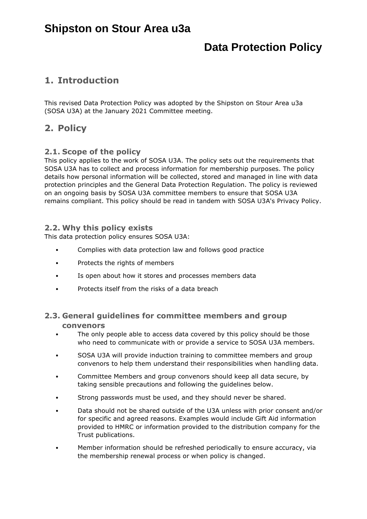# **Shipston on Stour Area u3a**

# **Data Protection Policy**

## **1. Introduction**

This revised Data Protection Policy was adopted by the Shipston on Stour Area u3a (SOSA U3A) at the January 2021 Committee meeting.

## **2. Policy**

### **2.1. Scope of the policy**

This policy applies to the work of SOSA U3A. The policy sets out the requirements that SOSA U3A has to collect and process information for membership purposes. The policy details how personal information will be collected, stored and managed in line with data protection principles and the General Data Protection Regulation. The policy is reviewed on an ongoing basis by SOSA U3A committee members to ensure that SOSA U3A remains compliant. This policy should be read in tandem with SOSA U3A's Privacy Policy.

## **2.2. Why this policy exists**

This data protection policy ensures SOSA U3A:

- Complies with data protection law and follows good practice
- Protects the rights of members
- Is open about how it stores and processes members data
- Protects itself from the risks of a data breach

## **2.3. General guidelines for committee members and group convenors**

- The only people able to access data covered by this policy should be those who need to communicate with or provide a service to SOSA U3A members.
- SOSA U3A will provide induction training to committee members and group convenors to help them understand their responsibilities when handling data.
- Committee Members and group convenors should keep all data secure, by taking sensible precautions and following the guidelines below.
- Strong passwords must be used, and they should never be shared.
- Data should not be shared outside of the U3A unless with prior consent and/or for specific and agreed reasons. Examples would include Gift Aid information provided to HMRC or information provided to the distribution company for the Trust publications.
- Member information should be refreshed periodically to ensure accuracy, via the membership renewal process or when policy is changed.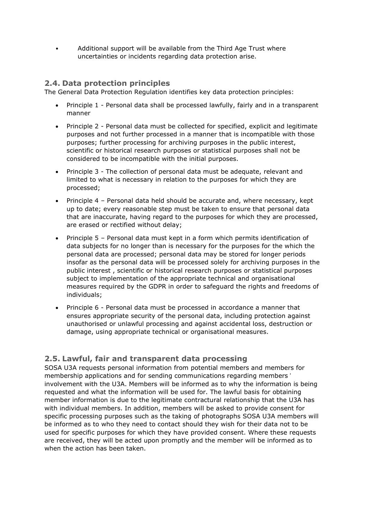• Additional support will be available from the Third Age Trust where uncertainties or incidents regarding data protection arise.

## **2.4. Data protection principles**

The General Data Protection Regulation identifies key data protection principles:

- Principle 1 Personal data shall be processed lawfully, fairly and in a transparent manner
- Principle 2 Personal data must be collected for specified, explicit and legitimate purposes and not further processed in a manner that is incompatible with those purposes; further processing for archiving purposes in the public interest, scientific or historical research purposes or statistical purposes shall not be considered to be incompatible with the initial purposes.
- Principle 3 The collection of personal data must be adequate, relevant and limited to what is necessary in relation to the purposes for which they are processed;
- Principle 4 Personal data held should be accurate and, where necessary, kept up to date; every reasonable step must be taken to ensure that personal data that are inaccurate, having regard to the purposes for which they are processed, are erased or rectified without delay;
- Principle 5 Personal data must kept in a form which permits identification of data subjects for no longer than is necessary for the purposes for the which the personal data are processed; personal data may be stored for longer periods insofar as the personal data will be processed solely for archiving purposes in the public interest , scientific or historical research purposes or statistical purposes subject to implementation of the appropriate technical and organisational measures required by the GDPR in order to safeguard the rights and freedoms of individuals;
- Principle 6 Personal data must be processed in accordance a manner that ensures appropriate security of the personal data, including protection against unauthorised or unlawful processing and against accidental loss, destruction or damage, using appropriate technical or organisational measures.

## **2.5. Lawful, fair and transparent data processing**

SOSA U3A requests personal information from potential members and members for membership applications and for sending communications regarding members ' involvement with the U3A. Members will be informed as to why the information is being requested and what the information will be used for. The lawful basis for obtaining member information is due to the legitimate contractural relationship that the U3A has with individual members. In addition, members will be asked to provide consent for specific processing purposes such as the taking of photographs SOSA U3A members will be informed as to who they need to contact should they wish for their data not to be used for specific purposes for which they have provided consent. Where these requests are received, they will be acted upon promptly and the member will be informed as to when the action has been taken.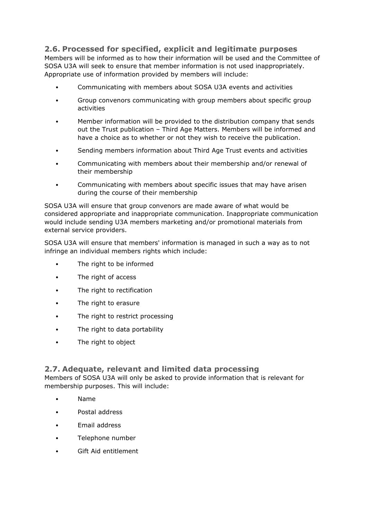## **2.6. Processed for specified, explicit and legitimate purposes**

Members will be informed as to how their information will be used and the Committee of SOSA U3A will seek to ensure that member information is not used inappropriately. Appropriate use of information provided by members will include:

- Communicating with members about SOSA U3A events and activities
- Group convenors communicating with group members about specific group activities
- Member information will be provided to the distribution company that sends out the Trust publication – Third Age Matters. Members will be informed and have a choice as to whether or not they wish to receive the publication.
- Sending members information about Third Age Trust events and activities
- Communicating with members about their membership and/or renewal of their membership
- Communicating with members about specific issues that may have arisen during the course of their membership

SOSA U3A will ensure that group convenors are made aware of what would be considered appropriate and inappropriate communication. Inappropriate communication would include sending U3A members marketing and/or promotional materials from external service providers.

SOSA U3A will ensure that members' information is managed in such a way as to not infringe an individual members rights which include:

- The right to be informed
- The right of access
- The right to rectification
- The right to erasure
- The right to restrict processing
- The right to data portability
- The right to object

### **2.7. Adequate, relevant and limited data processing**

Members of SOSA U3A will only be asked to provide information that is relevant for membership purposes. This will include:

- Name
- Postal address
- Email address
- Telephone number
- Gift Aid entitlement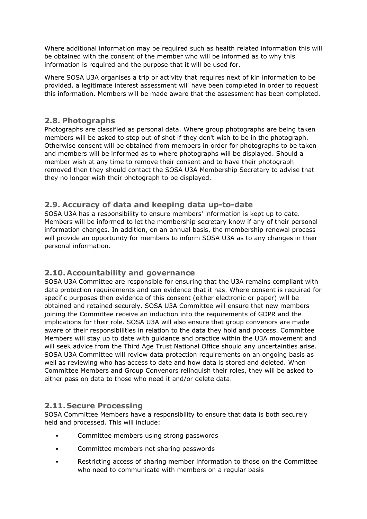Where additional information may be required such as health related information this will be obtained with the consent of the member who will be informed as to why this information is required and the purpose that it will be used for.

Where SOSA U3A organises a trip or activity that requires next of kin information to be provided, a legitimate interest assessment will have been completed in order to request this information. Members will be made aware that the assessment has been completed.

## **2.8. Photographs**

Photographs are classified as personal data. Where group photographs are being taken members will be asked to step out of shot if they don't wish to be in the photograph. Otherwise consent will be obtained from members in order for photographs to be taken and members will be informed as to where photographs will be displayed. Should a member wish at any time to remove their consent and to have their photograph removed then they should contact the SOSA U3A Membership Secretary to advise that they no longer wish their photograph to be displayed.

## **2.9. Accuracy of data and keeping data up-to-date**

SOSA U3A has a responsibility to ensure members' information is kept up to date. Members will be informed to let the membership secretary know if any of their personal information changes. In addition, on an annual basis, the membership renewal process will provide an opportunity for members to inform SOSA U3A as to any changes in their personal information.

## **2.10.Accountability and governance**

SOSA U3A Committee are responsible for ensuring that the U3A remains compliant with data protection requirements and can evidence that it has. Where consent is required for specific purposes then evidence of this consent (either electronic or paper) will be obtained and retained securely. SOSA U3A Committee will ensure that new members joining the Committee receive an induction into the requirements of GDPR and the implications for their role. SOSA U3A will also ensure that group convenors are made aware of their responsibilities in relation to the data they hold and process. Committee Members will stay up to date with guidance and practice within the U3A movement and will seek advice from the Third Age Trust National Office should any uncertainties arise. SOSA U3A Committee will review data protection requirements on an ongoing basis as well as reviewing who has access to date and how data is stored and deleted. When Committee Members and Group Convenors relinquish their roles, they will be asked to either pass on data to those who need it and/or delete data.

### **2.11. Secure Processing**

SOSA Committee Members have a responsibility to ensure that data is both securely held and processed. This will include:

- Committee members using strong passwords
- Committee members not sharing passwords
- Restricting access of sharing member information to those on the Committee who need to communicate with members on a regular basis